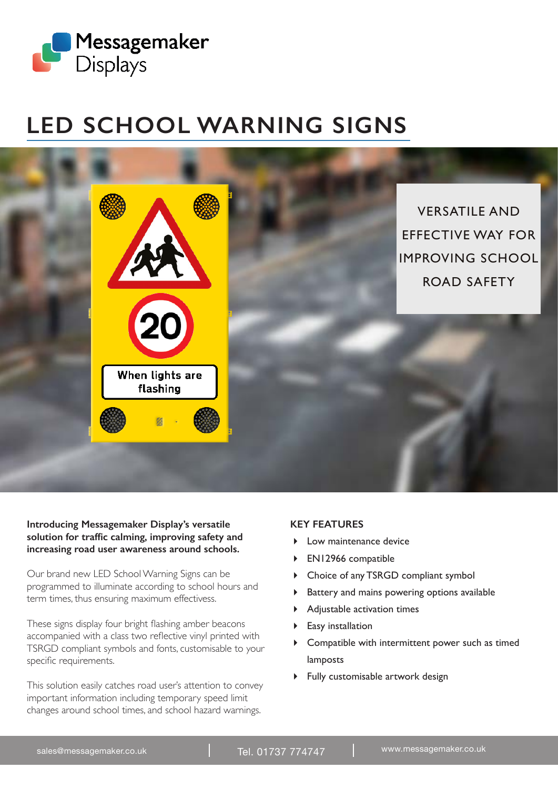

## **LED SCHOOL WARNING SIGNS**



## **Introducing Messagemaker Display's versatile solution for traffic calming, improving safety and increasing road user awareness around schools.**

Our brand new LED School Warning Signs can be programmed to illuminate according to school hours and term times, thus ensuring maximum effectivess.

These signs display four bright flashing amber beacons accompanied with a class two reflective vinyl printed with TSRGD compliant symbols and fonts, customisable to your specific requirements.

This solution easily catches road user's attention to convey important information including temporary speed limit changes around school times, and school hazard warnings.

## **KEY FEATURES**

- **Low maintenance device**
- EN12966 compatible
- Choice of any TSRGD compliant symbol
- Battery and mains powering options available
- Adjustable activation times
- ▶ Easy installation
- Compatible with intermittent power such as timed lamposts
- Fully customisable artwork design